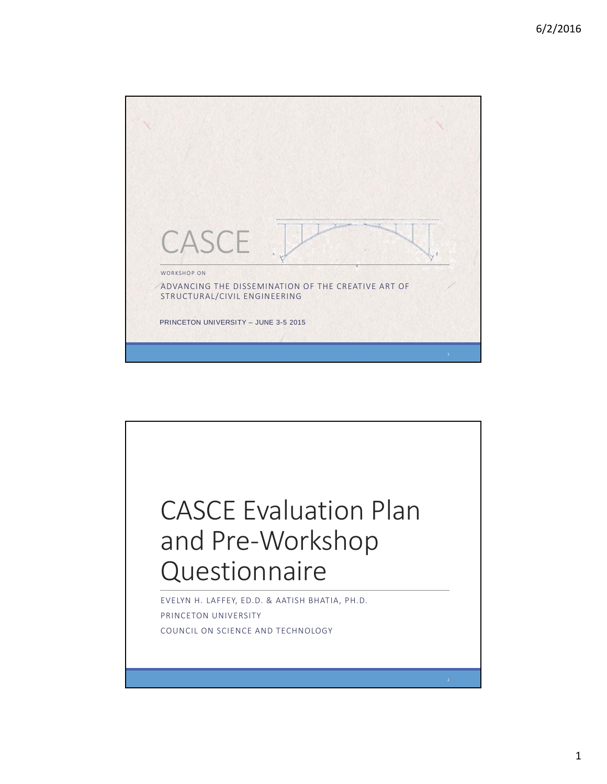

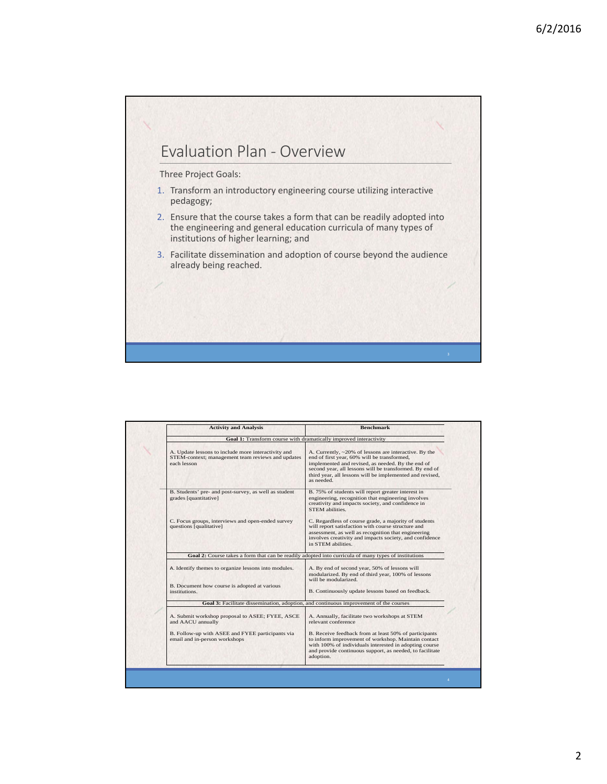

| <b>Activity and Analysis</b>                                                                                            | <b>Benchmark</b>                                                                                                                                                                                                                                                                               |
|-------------------------------------------------------------------------------------------------------------------------|------------------------------------------------------------------------------------------------------------------------------------------------------------------------------------------------------------------------------------------------------------------------------------------------|
|                                                                                                                         | Goal 1: Transform course with dramatically improved interactivity                                                                                                                                                                                                                              |
| A. Update lessons to include more interactivity and<br>STEM-context; management team reviews and updates<br>each lesson | A. Currently, ~20% of lessons are interactive. By the<br>end of first year, 60% will be transformed,<br>implemented and revised, as needed. By the end of<br>second year, all lessons will be transformed. By end of<br>third year, all lessons will be implemented and revised,<br>as needed. |
| B. Students' pre- and post-survey, as well as student<br>grades [quantitative]                                          | B. 75% of students will report greater interest in<br>engineering, recognition that engineering involves<br>creativity and impacts society, and confidence in<br>STEM abilities.                                                                                                               |
| C. Focus groups, interviews and open-ended survey<br>questions [qualitative]                                            | C. Regardless of course grade, a majority of students<br>will report satisfaction with course structure and<br>assessment, as well as recognition that engineering<br>involves creativity and impacts society, and confidence<br>in STEM abilities.                                            |
|                                                                                                                         | Goal 2: Course takes a form that can be readily adopted into curricula of many types of institutions                                                                                                                                                                                           |
| A. Identify themes to organize lessons into modules.                                                                    | A. By end of second year, 50% of lessons will<br>modularized. By end of third year, 100% of lessons<br>will be modularized.                                                                                                                                                                    |
| B. Document how course is adopted at various<br>institutions.                                                           | B. Continuously update lessons based on feedback.                                                                                                                                                                                                                                              |
|                                                                                                                         | Goal 3: Facilitate dissemination, adoption, and continuous improvement of the courses                                                                                                                                                                                                          |
| A. Submit workshop proposal to ASEE; FYEE, ASCE<br>and AACU annually                                                    | A. Annually, facilitate two workshops at STEM<br>relevant conference                                                                                                                                                                                                                           |
| B. Follow-up with ASEE and FYEE participants via<br>email and in-person workshops                                       | B. Receive feedback from at least 50% of participants<br>to inform improvement of workshop. Maintain contact<br>with 100% of individuals interested in adopting course<br>and provide continuous support, as needed, to facilitate<br>adoption.                                                |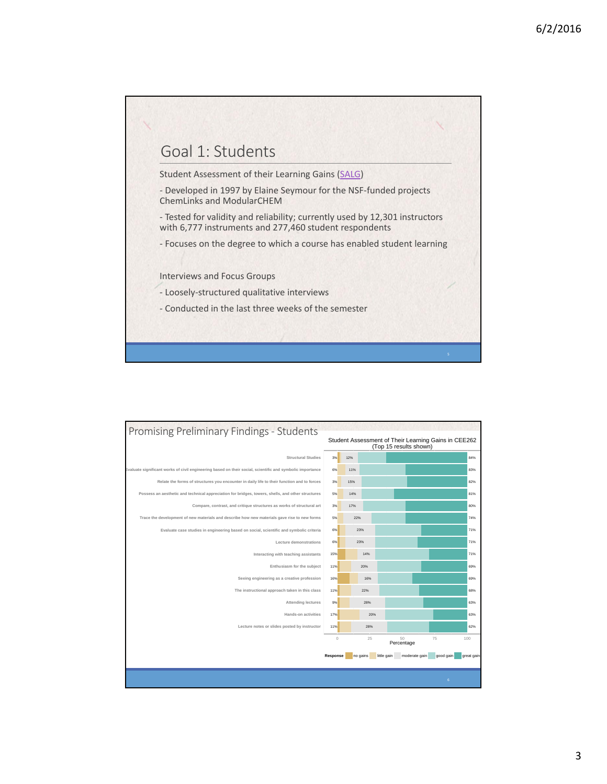

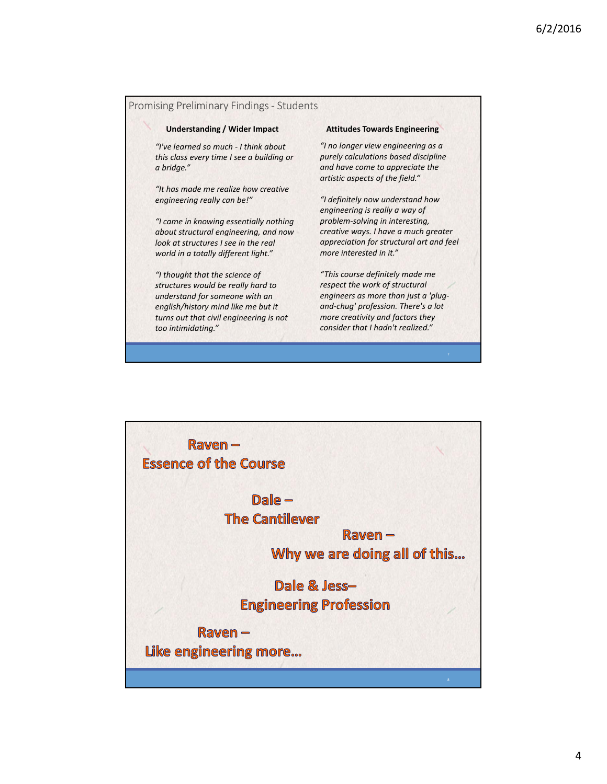## Promising Preliminary Findings ‐ Students

## **Understanding / Wider Impact Attitudes Towards Engineering**

*"I've learned so much ‐ I think about this class every time I see a building or a bridge."*

*"It has made me realize how creative engineering really can be!"*

*"I came in knowing essentially nothing about structural engineering, and now look at structures I see in the real world in a totally different light."*

*"I thought that the science of structures would be really hard to understand for someone with an english/history mind like me but it turns out that civil engineering is not too intimidating."*

*"I no longer view engineering as a purely calculations based discipline and have come to appreciate the artistic aspects of the field."*

*"I definitely now understand how engineering is really a way of problem‐solving in interesting, creative ways. I have a much greater appreciation for structural art and feel more interested in it."*

*"This course definitely made me respect the work of structural engineers as more than just a 'plug‐ and‐chug' profession. There's a lot more creativity and factors they consider that I hadn't realized."*